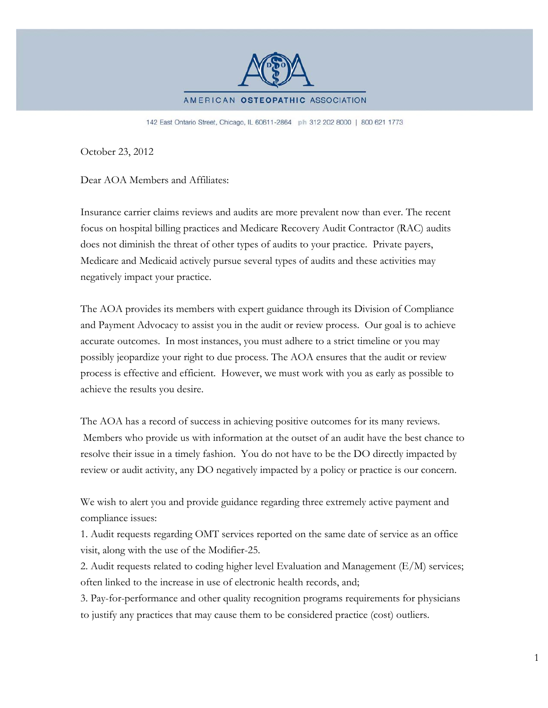

142 East Ontario Street, Chicago, IL 60611-2864 ph 312 202 8000 | 800 621 1773

October 23, 2012

Dear AOA Members and Affiliates:

Insurance carrier claims reviews and audits are more prevalent now than ever. The recent focus on hospital billing practices and Medicare Recovery Audit Contractor (RAC) audits does not diminish the threat of other types of audits to your practice. Private payers, Medicare and Medicaid actively pursue several types of audits and these activities may negatively impact your practice.

The AOA provides its members with expert guidance through its Division of Compliance and Payment Advocacy to assist you in the audit or review process. Our goal is to achieve accurate outcomes. In most instances, you must adhere to a strict timeline or you may possibly jeopardize your right to due process. The AOA ensures that the audit or review process is effective and efficient. However, we must work with you as early as possible to achieve the results you desire.

The AOA has a record of success in achieving positive outcomes for its many reviews. Members who provide us with information at the outset of an audit have the best chance to resolve their issue in a timely fashion. You do not have to be the DO directly impacted by review or audit activity, any DO negatively impacted by a policy or practice is our concern.

We wish to alert you and provide guidance regarding three extremely active payment and compliance issues:

1. Audit requests regarding OMT services reported on the same date of service as an office visit, along with the use of the Modifier-25.

2. Audit requests related to coding higher level Evaluation and Management (E/M) services; often linked to the increase in use of electronic health records, and;

3. Pay-for-performance and other quality recognition programs requirements for physicians to justify any practices that may cause them to be considered practice (cost) outliers.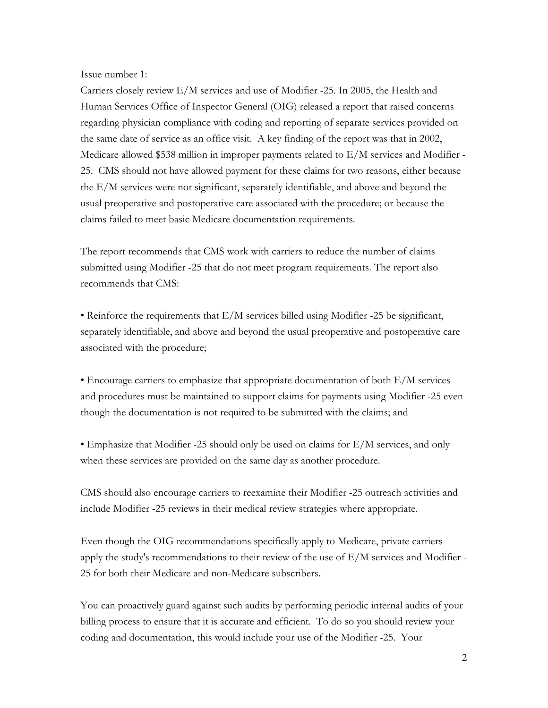Issue number 1:

Carriers closely review E/M services and use of Modifier -25. In 2005, the Health and Human Services Office of Inspector General (OIG) released a report that raised concerns regarding physician compliance with coding and reporting of separate services provided on the same date of service as an office visit. A key finding of the report was that in 2002, Medicare allowed \$538 million in improper payments related to  $E/M$  services and Modifier -25. CMS should not have allowed payment for these claims for two reasons, either because the E/M services were not significant, separately identifiable, and above and beyond the usual preoperative and postoperative care associated with the procedure; or because the claims failed to meet basic Medicare documentation requirements.

The report recommends that CMS work with carriers to reduce the number of claims submitted using Modifier -25 that do not meet program requirements. The report also recommends that CMS:

• Reinforce the requirements that E/M services billed using Modifier -25 be significant, separately identifiable, and above and beyond the usual preoperative and postoperative care associated with the procedure;

• Encourage carriers to emphasize that appropriate documentation of both E/M services and procedures must be maintained to support claims for payments using Modifier -25 even though the documentation is not required to be submitted with the claims; and

• Emphasize that Modifier -25 should only be used on claims for E/M services, and only when these services are provided on the same day as another procedure.

CMS should also encourage carriers to reexamine their Modifier -25 outreach activities and include Modifier -25 reviews in their medical review strategies where appropriate.

Even though the OIG recommendations specifically apply to Medicare, private carriers apply the study's recommendations to their review of the use of  $E/M$  services and Modifier -25 for both their Medicare and non-Medicare subscribers.

You can proactively guard against such audits by performing periodic internal audits of your billing process to ensure that it is accurate and efficient. To do so you should review your coding and documentation, this would include your use of the Modifier -25. Your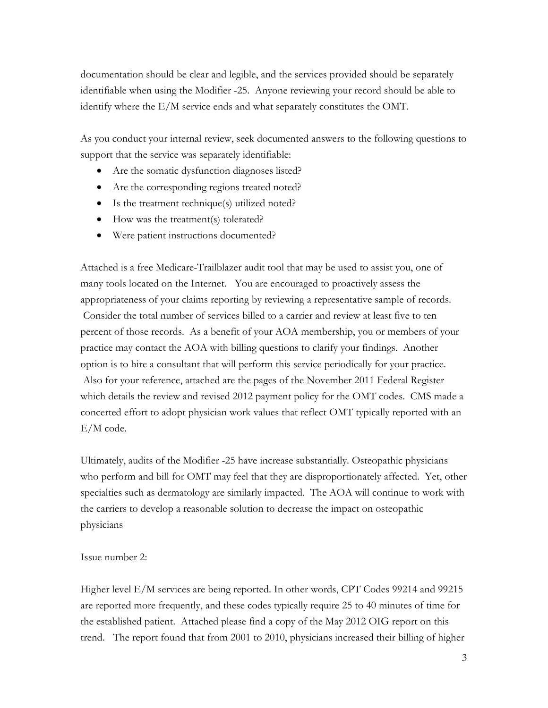documentation should be clear and legible, and the services provided should be separately identifiable when using the Modifier -25. Anyone reviewing your record should be able to identify where the E/M service ends and what separately constitutes the OMT.

As you conduct your internal review, seek documented answers to the following questions to support that the service was separately identifiable:

- Are the somatic dysfunction diagnoses listed?
- Are the corresponding regions treated noted?
- Is the treatment technique(s) utilized noted?
- How was the treatment(s) tolerated?
- Were patient instructions documented?

Attached is a free Medicare-Trailblazer audit tool that may be used to assist you, one of many tools located on the Internet. You are encouraged to proactively assess the appropriateness of your claims reporting by reviewing a representative sample of records. Consider the total number of services billed to a carrier and review at least five to ten percent of those records. As a benefit of your AOA membership, you or members of your practice may contact the AOA with billing questions to clarify your findings. Another option is to hire a consultant that will perform this service periodically for your practice. Also for your reference, attached are the pages of the November 2011 Federal Register which details the review and revised 2012 payment policy for the OMT codes. CMS made a concerted effort to adopt physician work values that reflect OMT typically reported with an E/M code.

Ultimately, audits of the Modifier -25 have increase substantially. Osteopathic physicians who perform and bill for OMT may feel that they are disproportionately affected. Yet, other specialties such as dermatology are similarly impacted. The AOA will continue to work with the carriers to develop a reasonable solution to decrease the impact on osteopathic physicians

Issue number 2:

Higher level E/M services are being reported. In other words, CPT Codes 99214 and 99215 are reported more frequently, and these codes typically require 25 to 40 minutes of time for the established patient. Attached please find a copy of the May 2012 OIG report on this trend. The report found that from 2001 to 2010, physicians increased their billing of higher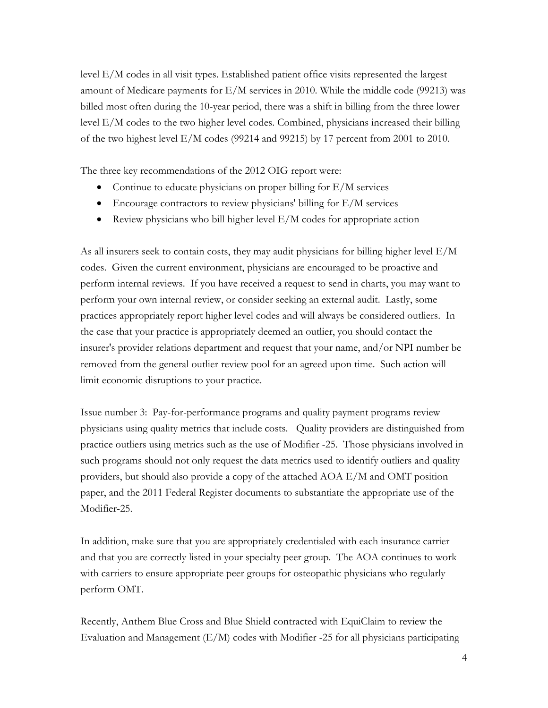level E/M codes in all visit types. Established patient office visits represented the largest amount of Medicare payments for E/M services in 2010. While the middle code (99213) was billed most often during the 10-year period, there was a shift in billing from the three lower level E/M codes to the two higher level codes. Combined, physicians increased their billing of the two highest level E/M codes (99214 and 99215) by 17 percent from 2001 to 2010.

The three key recommendations of the 2012 OIG report were:

- Continue to educate physicians on proper billing for  $E/M$  services
- Encourage contractors to review physicians' billing for E/M services
- Review physicians who bill higher level  $E/M$  codes for appropriate action

As all insurers seek to contain costs, they may audit physicians for billing higher level E/M codes. Given the current environment, physicians are encouraged to be proactive and perform internal reviews. If you have received a request to send in charts, you may want to perform your own internal review, or consider seeking an external audit. Lastly, some practices appropriately report higher level codes and will always be considered outliers. In the case that your practice is appropriately deemed an outlier, you should contact the insurer's provider relations department and request that your name, and/or NPI number be removed from the general outlier review pool for an agreed upon time. Such action will limit economic disruptions to your practice.

Issue number 3: Pay-for-performance programs and quality payment programs review physicians using quality metrics that include costs. Quality providers are distinguished from practice outliers using metrics such as the use of Modifier -25. Those physicians involved in such programs should not only request the data metrics used to identify outliers and quality providers, but should also provide a copy of the attached AOA E/M and OMT position paper, and the 2011 Federal Register documents to substantiate the appropriate use of the Modifier-25.

In addition, make sure that you are appropriately credentialed with each insurance carrier and that you are correctly listed in your specialty peer group. The AOA continues to work with carriers to ensure appropriate peer groups for osteopathic physicians who regularly perform OMT.

Recently, Anthem Blue Cross and Blue Shield contracted with EquiClaim to review the Evaluation and Management (E/M) codes with Modifier -25 for all physicians participating